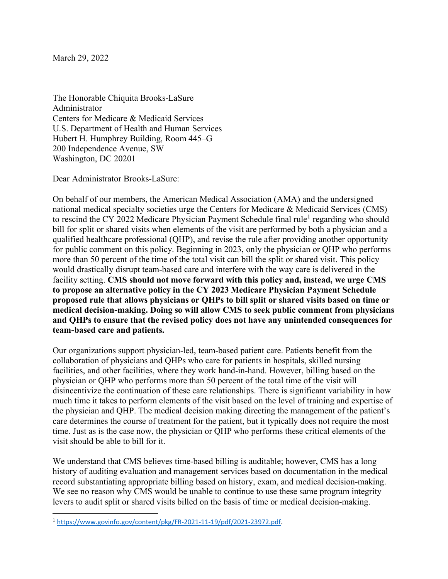March 29, 2022

The Honorable Chiquita Brooks-LaSure Administrator Centers for Medicare & Medicaid Services U.S. Department of Health and Human Services Hubert H. Humphrey Building, Room 445–G 200 Independence Avenue, SW Washington, DC 20201

Dear Administrator Brooks-LaSure:

On behalf of our members, the American Medical Association (AMA) and the undersigned national medical specialty societies urge the Centers for Medicare & Medicaid Services (CMS) to rescind the CY 2022 Medicare Physician Payment Schedule final rule<sup>[1](#page-0-0)</sup> regarding who should bill for split or shared visits when elements of the visit are performed by both a physician and a qualified healthcare professional (QHP), and revise the rule after providing another opportunity for public comment on this policy. Beginning in 2023, only the physician or QHP who performs more than 50 percent of the time of the total visit can bill the split or shared visit. This policy would drastically disrupt team-based care and interfere with the way care is delivered in the facility setting. **CMS should not move forward with this policy and, instead, we urge CMS to propose an alternative policy in the CY 2023 Medicare Physician Payment Schedule proposed rule that allows physicians or QHPs to bill split or shared visits based on time or medical decision-making. Doing so will allow CMS to seek public comment from physicians and QHPs to ensure that the revised policy does not have any unintended consequences for team-based care and patients.**

Our organizations support physician-led, team-based patient care. Patients benefit from the collaboration of physicians and QHPs who care for patients in hospitals, skilled nursing facilities, and other facilities, where they work hand-in-hand. However, billing based on the physician or QHP who performs more than 50 percent of the total time of the visit will disincentivize the continuation of these care relationships. There is significant variability in how much time it takes to perform elements of the visit based on the level of training and expertise of the physician and QHP. The medical decision making directing the management of the patient's care determines the course of treatment for the patient, but it typically does not require the most time. Just as is the case now, the physician or QHP who performs these critical elements of the visit should be able to bill for it.

We understand that CMS believes time-based billing is auditable; however, CMS has a long history of auditing evaluation and management services based on documentation in the medical record substantiating appropriate billing based on history, exam, and medical decision-making. We see no reason why CMS would be unable to continue to use these same program integrity levers to audit split or shared visits billed on the basis of time or medical decision-making.

<span id="page-0-0"></span><sup>1</sup> [https://www.govinfo.gov/content/pkg/FR-2021-11-19/pdf/2021-23972.pdf.](https://www.govinfo.gov/content/pkg/FR-2021-11-19/pdf/2021-23972.pdf)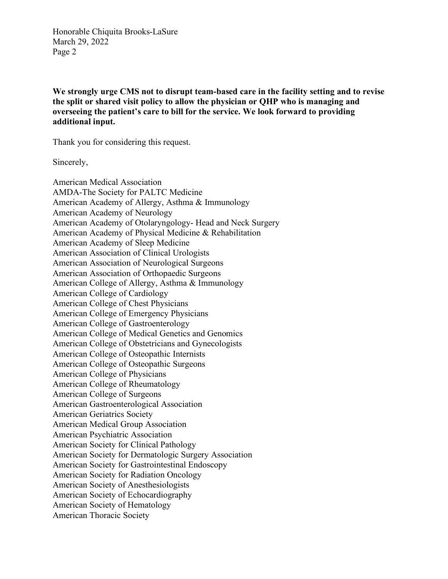Honorable Chiquita Brooks-LaSure March 29, 2022 Page 2

**We strongly urge CMS not to disrupt team-based care in the facility setting and to revise the split or shared visit policy to allow the physician or QHP who is managing and overseeing the patient's care to bill for the service. We look forward to providing additional input.**

Thank you for considering this request.

Sincerely,

American Medical Association AMDA-The Society for PALTC Medicine American Academy of Allergy, Asthma & Immunology American Academy of Neurology American Academy of Otolaryngology- Head and Neck Surgery American Academy of Physical Medicine & Rehabilitation American Academy of Sleep Medicine American Association of Clinical Urologists American Association of Neurological Surgeons American Association of Orthopaedic Surgeons American College of Allergy, Asthma & Immunology American College of Cardiology American College of Chest Physicians American College of Emergency Physicians American College of Gastroenterology American College of Medical Genetics and Genomics American College of Obstetricians and Gynecologists American College of Osteopathic Internists American College of Osteopathic Surgeons American College of Physicians American College of Rheumatology American College of Surgeons American Gastroenterological Association American Geriatrics Society American Medical Group Association American Psychiatric Association American Society for Clinical Pathology American Society for Dermatologic Surgery Association American Society for Gastrointestinal Endoscopy American Society for Radiation Oncology American Society of Anesthesiologists American Society of Echocardiography American Society of Hematology American Thoracic Society